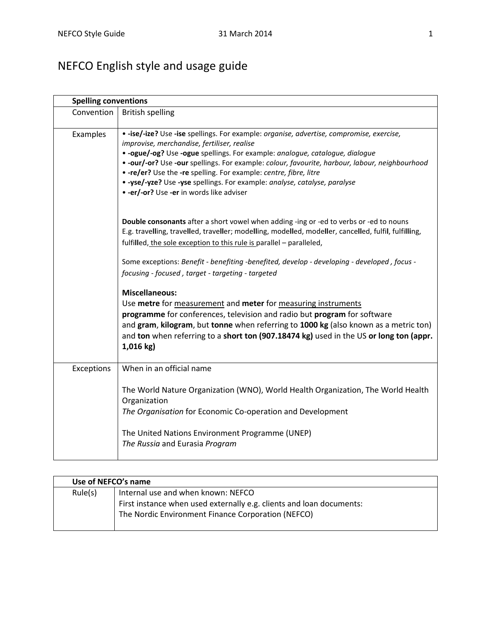## NEFCO English style and usage guide

| <b>Spelling conventions</b> |                                                                                                                                                                                                                                                                                                                                                                                                                                                                                                                            |  |
|-----------------------------|----------------------------------------------------------------------------------------------------------------------------------------------------------------------------------------------------------------------------------------------------------------------------------------------------------------------------------------------------------------------------------------------------------------------------------------------------------------------------------------------------------------------------|--|
| Convention                  | <b>British spelling</b>                                                                                                                                                                                                                                                                                                                                                                                                                                                                                                    |  |
| Examples                    | • -ise/-ize? Use -ise spellings. For example: organise, advertise, compromise, exercise,<br>improvise, merchandise, fertiliser, realise<br>. - ogue/-og? Use -ogue spellings. For example: analogue, catalogue, dialogue<br>. - our/-or? Use -our spellings. For example: colour, favourite, harbour, labour, neighbourhood<br>• -re/er? Use the -re spelling. For example: centre, fibre, litre<br>. - yse/-yze? Use -yse spellings. For example: analyse, catalyse, paralyse<br>• -er/-or? Use -er in words like adviser |  |
|                             | Double consonants after a short vowel when adding -ing or -ed to verbs or -ed to nouns<br>E.g. travelling, travelled, traveller; modelling, modelled, modeller, cancelled, fulfil, fulfilling,<br>fulfilled, the sole exception to this rule is parallel - paralleled,                                                                                                                                                                                                                                                     |  |
|                             | Some exceptions: Benefit - benefiting -benefited, develop - developing - developed, focus -<br>focusing - focused, target - targeting - targeted                                                                                                                                                                                                                                                                                                                                                                           |  |
|                             | <b>Miscellaneous:</b><br>Use metre for measurement and meter for measuring instruments<br>programme for conferences, television and radio but program for software<br>and gram, kilogram, but tonne when referring to 1000 kg (also known as a metric ton)<br>and ton when referring to a short ton (907.18474 kg) used in the US or long ton (appr.<br>$1,016$ kg)                                                                                                                                                        |  |
| Exceptions                  | When in an official name                                                                                                                                                                                                                                                                                                                                                                                                                                                                                                   |  |
|                             | The World Nature Organization (WNO), World Health Organization, The World Health<br>Organization<br>The Organisation for Economic Co-operation and Development<br>The United Nations Environment Programme (UNEP)                                                                                                                                                                                                                                                                                                          |  |
|                             | The Russia and Eurasia Program                                                                                                                                                                                                                                                                                                                                                                                                                                                                                             |  |

|         | Use of NEFCO's name                                                  |  |
|---------|----------------------------------------------------------------------|--|
| Rule(s) | Internal use and when known: NEFCO                                   |  |
|         | First instance when used externally e.g. clients and loan documents: |  |
|         | The Nordic Environment Finance Corporation (NEFCO)                   |  |
|         |                                                                      |  |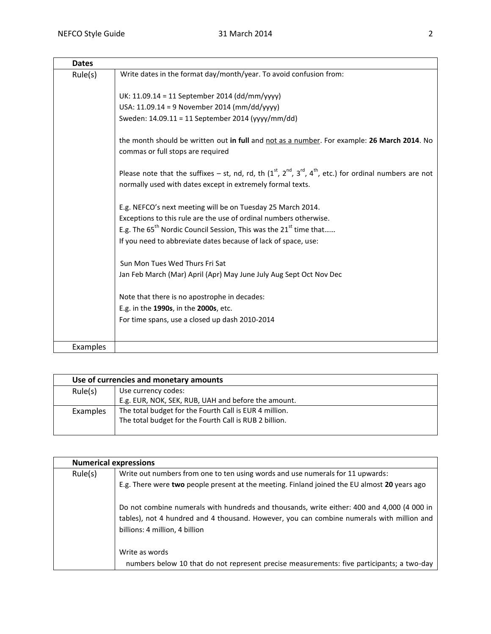| <b>Dates</b> |                                                                                                                                                                                   |
|--------------|-----------------------------------------------------------------------------------------------------------------------------------------------------------------------------------|
| Rule(s)      | Write dates in the format day/month/year. To avoid confusion from:                                                                                                                |
|              | UK: 11.09.14 = 11 September 2014 (dd/mm/yyyy)                                                                                                                                     |
|              | USA: 11.09.14 = 9 November 2014 (mm/dd/yyyy)                                                                                                                                      |
|              | Sweden: 14.09.11 = 11 September 2014 (yyyy/mm/dd)                                                                                                                                 |
|              | the month should be written out in full and not as a number. For example: 26 March 2014. No<br>commas or full stops are required                                                  |
|              | Please note that the suffixes – st, nd, rd, th $(1^{st}, 2^{nd}, 3^{rd}, 4^{th},$ etc.) for ordinal numbers are not<br>normally used with dates except in extremely formal texts. |
|              | E.g. NEFCO's next meeting will be on Tuesday 25 March 2014.                                                                                                                       |
|              | Exceptions to this rule are the use of ordinal numbers otherwise.                                                                                                                 |
|              | E.g. The 65 <sup>th</sup> Nordic Council Session, This was the 21 <sup>st</sup> time that                                                                                         |
|              | If you need to abbreviate dates because of lack of space, use:                                                                                                                    |
|              | Sun Mon Tues Wed Thurs Fri Sat                                                                                                                                                    |
|              | Jan Feb March (Mar) April (Apr) May June July Aug Sept Oct Nov Dec                                                                                                                |
|              | Note that there is no apostrophe in decades:                                                                                                                                      |
|              | E.g. in the 1990s, in the 2000s, etc.                                                                                                                                             |
|              | For time spans, use a closed up dash 2010-2014                                                                                                                                    |
| Examples     |                                                                                                                                                                                   |

| Use of currencies and monetary amounts |                                                        |
|----------------------------------------|--------------------------------------------------------|
| Rule(s)                                | Use currency codes:                                    |
|                                        | E.g. EUR, NOK, SEK, RUB, UAH and before the amount.    |
| Examples                               | The total budget for the Fourth Call is EUR 4 million. |
|                                        | The total budget for the Fourth Call is RUB 2 billion. |
|                                        |                                                        |

| <b>Numerical expressions</b> |                                                                                                                                                                                                                           |
|------------------------------|---------------------------------------------------------------------------------------------------------------------------------------------------------------------------------------------------------------------------|
| Rule(s)                      | Write out numbers from one to ten using words and use numerals for 11 upwards:                                                                                                                                            |
|                              | E.g. There were two people present at the meeting. Finland joined the EU almost 20 years ago                                                                                                                              |
|                              | Do not combine numerals with hundreds and thousands, write either: 400 and 4,000 (4 000 in<br>tables), not 4 hundred and 4 thousand. However, you can combine numerals with million and<br>billions: 4 million, 4 billion |
|                              | Write as words<br>numbers below 10 that do not represent precise measurements: five participants; a two-day                                                                                                               |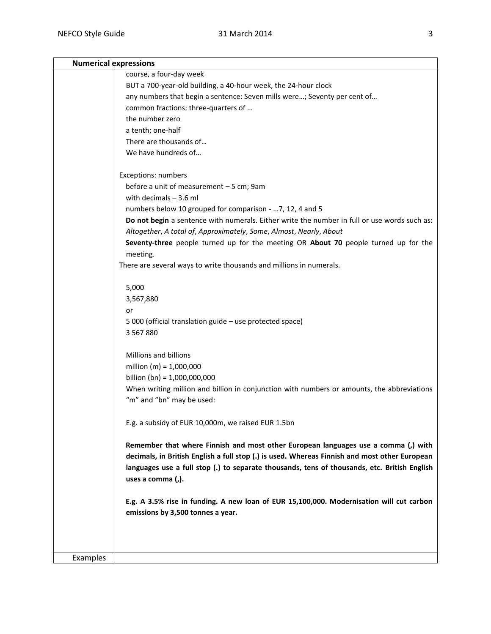|          | <b>Numerical expressions</b>                                                                  |  |
|----------|-----------------------------------------------------------------------------------------------|--|
|          | course, a four-day week                                                                       |  |
|          | BUT a 700-year-old building, a 40-hour week, the 24-hour clock                                |  |
|          | any numbers that begin a sentence: Seven mills were; Seventy per cent of                      |  |
|          | common fractions: three-quarters of                                                           |  |
|          | the number zero                                                                               |  |
|          | a tenth; one-half                                                                             |  |
|          | There are thousands of                                                                        |  |
|          | We have hundreds of                                                                           |  |
|          |                                                                                               |  |
|          | <b>Exceptions: numbers</b>                                                                    |  |
|          | before a unit of measurement - 5 cm; 9am                                                      |  |
|          | with decimals $-3.6$ ml                                                                       |  |
|          | numbers below 10 grouped for comparison -  7, 12, 4 and 5                                     |  |
|          | Do not begin a sentence with numerals. Either write the number in full or use words such as:  |  |
|          | Altogether, A total of, Approximately, Some, Almost, Nearly, About                            |  |
|          | Seventy-three people turned up for the meeting OR About 70 people turned up for the           |  |
|          | meeting.                                                                                      |  |
|          | There are several ways to write thousands and millions in numerals.                           |  |
|          |                                                                                               |  |
|          | 5,000                                                                                         |  |
|          | 3,567,880                                                                                     |  |
|          | or                                                                                            |  |
|          | 5 000 (official translation guide - use protected space)                                      |  |
|          | 3 5 6 7 8 8 0                                                                                 |  |
|          |                                                                                               |  |
|          | Millions and billions                                                                         |  |
|          | million (m) = $1,000,000$                                                                     |  |
|          | billion (bn) = $1,000,000,000$                                                                |  |
|          | When writing million and billion in conjunction with numbers or amounts, the abbreviations    |  |
|          | "m" and "bn" may be used:                                                                     |  |
|          |                                                                                               |  |
|          | E.g. a subsidy of EUR 10,000m, we raised EUR 1.5bn                                            |  |
|          |                                                                                               |  |
|          | Remember that where Finnish and most other European languages use a comma (,) with            |  |
|          | decimals, in British English a full stop (.) is used. Whereas Finnish and most other European |  |
|          | languages use a full stop (.) to separate thousands, tens of thousands, etc. British English  |  |
|          | uses a comma (,).                                                                             |  |
|          |                                                                                               |  |
|          | E.g. A 3.5% rise in funding. A new loan of EUR 15,100,000. Modernisation will cut carbon      |  |
|          | emissions by 3,500 tonnes a year.                                                             |  |
|          |                                                                                               |  |
|          |                                                                                               |  |
|          |                                                                                               |  |
| Examples |                                                                                               |  |
|          |                                                                                               |  |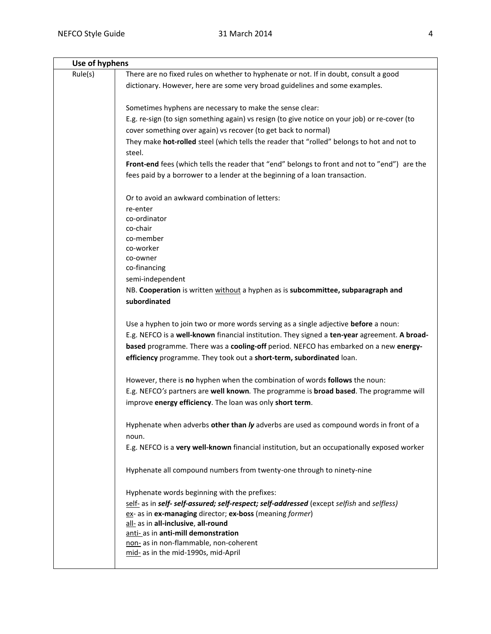| Use of hyphens |                                                                                                                                                                     |
|----------------|---------------------------------------------------------------------------------------------------------------------------------------------------------------------|
| Rule(s)        | There are no fixed rules on whether to hyphenate or not. If in doubt, consult a good<br>dictionary. However, here are some very broad guidelines and some examples. |
|                |                                                                                                                                                                     |
|                | Sometimes hyphens are necessary to make the sense clear:                                                                                                            |
|                | E.g. re-sign (to sign something again) vs resign (to give notice on your job) or re-cover (to                                                                       |
|                | cover something over again) vs recover (to get back to normal)                                                                                                      |
|                | They make hot-rolled steel (which tells the reader that "rolled" belongs to hot and not to                                                                          |
|                | steel.                                                                                                                                                              |
|                | Front-end fees (which tells the reader that "end" belongs to front and not to "end") are the                                                                        |
|                | fees paid by a borrower to a lender at the beginning of a loan transaction.                                                                                         |
|                | Or to avoid an awkward combination of letters:                                                                                                                      |
|                | re-enter                                                                                                                                                            |
|                | co-ordinator                                                                                                                                                        |
|                | co-chair                                                                                                                                                            |
|                | co-member<br>co-worker                                                                                                                                              |
|                | co-owner                                                                                                                                                            |
|                | co-financing                                                                                                                                                        |
|                | semi-independent                                                                                                                                                    |
|                | NB. Cooperation is written without a hyphen as is subcommittee, subparagraph and                                                                                    |
|                | subordinated                                                                                                                                                        |
|                | Use a hyphen to join two or more words serving as a single adjective before a noun:                                                                                 |
|                | E.g. NEFCO is a well-known financial institution. They signed a ten-year agreement. A broad-                                                                        |
|                | based programme. There was a cooling-off period. NEFCO has embarked on a new energy-                                                                                |
|                | efficiency programme. They took out a short-term, subordinated loan.                                                                                                |
|                | However, there is no hyphen when the combination of words follows the noun:                                                                                         |
|                | E.g. NEFCO's partners are well known. The programme is broad based. The programme will                                                                              |
|                | improve energy efficiency. The loan was only short term.                                                                                                            |
|                | Hyphenate when adverbs other than ly adverbs are used as compound words in front of a                                                                               |
|                | noun.                                                                                                                                                               |
|                | E.g. NEFCO is a very well-known financial institution, but an occupationally exposed worker                                                                         |
|                | Hyphenate all compound numbers from twenty-one through to ninety-nine                                                                                               |
|                | Hyphenate words beginning with the prefixes:                                                                                                                        |
|                | self- as in self- self-assured; self-respect; self-addressed (except selfish and selfless)                                                                          |
|                | ex- as in ex-managing director; ex-boss (meaning former)                                                                                                            |
|                | all- as in all-inclusive, all-round                                                                                                                                 |
|                | anti- as in anti-mill demonstration                                                                                                                                 |
|                | non- as in non-flammable, non-coherent<br>mid- as in the mid-1990s, mid-April                                                                                       |
|                |                                                                                                                                                                     |
|                |                                                                                                                                                                     |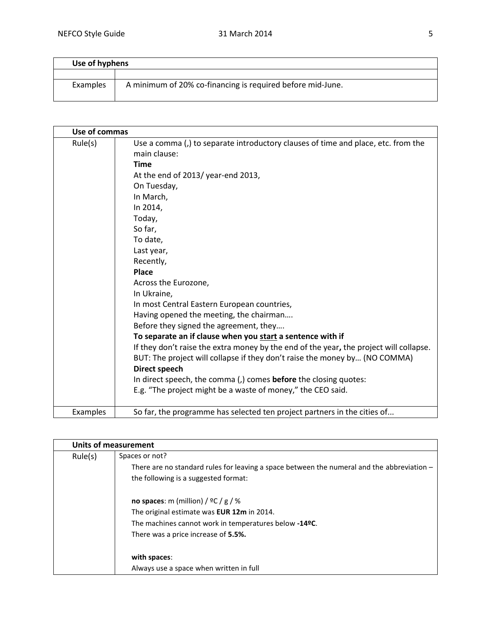| Use of hyphens |                                                            |
|----------------|------------------------------------------------------------|
|                |                                                            |
| Examples       | A minimum of 20% co-financing is required before mid-June. |

|          | Use of commas                                                                                                                                                                                                                                                                                                                                                                                                                                                                                                                                                                                                                                                                                                                                                                                                                                          |  |
|----------|--------------------------------------------------------------------------------------------------------------------------------------------------------------------------------------------------------------------------------------------------------------------------------------------------------------------------------------------------------------------------------------------------------------------------------------------------------------------------------------------------------------------------------------------------------------------------------------------------------------------------------------------------------------------------------------------------------------------------------------------------------------------------------------------------------------------------------------------------------|--|
| Rule(s)  | Use a comma (,) to separate introductory clauses of time and place, etc. from the<br>main clause:<br><b>Time</b><br>At the end of 2013/ year-end 2013,<br>On Tuesday,<br>In March,<br>In 2014,<br>Today,<br>So far,<br>To date,<br>Last year,<br>Recently,<br>Place<br>Across the Eurozone,<br>In Ukraine,<br>In most Central Eastern European countries,<br>Having opened the meeting, the chairman<br>Before they signed the agreement, they<br>To separate an if clause when you start a sentence with if<br>If they don't raise the extra money by the end of the year, the project will collapse.<br>BUT: The project will collapse if they don't raise the money by (NO COMMA)<br><b>Direct speech</b><br>In direct speech, the comma (,) comes <b>before</b> the closing quotes:<br>E.g. "The project might be a waste of money," the CEO said. |  |
| Examples | So far, the programme has selected ten project partners in the cities of                                                                                                                                                                                                                                                                                                                                                                                                                                                                                                                                                                                                                                                                                                                                                                               |  |

| <b>Units of measurement</b> |                                                                                              |
|-----------------------------|----------------------------------------------------------------------------------------------|
| Rule(s)                     | Spaces or not?                                                                               |
|                             | There are no standard rules for leaving a space between the numeral and the abbreviation $-$ |
|                             | the following is a suggested format:                                                         |
|                             | no spaces: m (million) / $\frac{1}{2}C$ / $\frac{1}{8}$ / %                                  |
|                             | The original estimate was EUR 12m in 2014.                                                   |
|                             | The machines cannot work in temperatures below -14ºC.                                        |
|                             | There was a price increase of 5.5%.                                                          |
|                             | with spaces:                                                                                 |
|                             | Always use a space when written in full                                                      |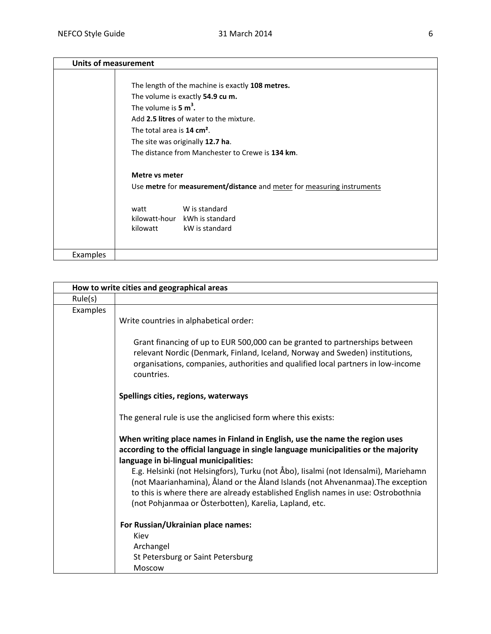| <b>Units of measurement</b> |                                                                        |
|-----------------------------|------------------------------------------------------------------------|
|                             |                                                                        |
|                             | The length of the machine is exactly 108 metres.                       |
|                             | The volume is exactly 54.9 cu m.                                       |
|                             | The volume is $5 \text{ m}^3$ .                                        |
|                             | Add 2.5 litres of water to the mixture.                                |
|                             | The total area is $14 \text{ cm}^2$ .                                  |
|                             | The site was originally 12.7 ha.                                       |
|                             | The distance from Manchester to Crewe is 134 km.                       |
|                             |                                                                        |
|                             | Metre vs meter                                                         |
|                             | Use metre for measurement/distance and meter for measuring instruments |
|                             | W is standard<br>watt                                                  |
|                             | kilowatt-hour kWh is standard                                          |
|                             | kilowatt<br>kW is standard                                             |
|                             |                                                                        |
| Examples                    |                                                                        |

|          | How to write cities and geographical areas                                                                                                                                                                                                                                                                             |
|----------|------------------------------------------------------------------------------------------------------------------------------------------------------------------------------------------------------------------------------------------------------------------------------------------------------------------------|
| Rule(s)  |                                                                                                                                                                                                                                                                                                                        |
| Examples | Write countries in alphabetical order:                                                                                                                                                                                                                                                                                 |
|          | Grant financing of up to EUR 500,000 can be granted to partnerships between<br>relevant Nordic (Denmark, Finland, Iceland, Norway and Sweden) institutions,<br>organisations, companies, authorities and qualified local partners in low-income<br>countries.                                                          |
|          | Spellings cities, regions, waterways                                                                                                                                                                                                                                                                                   |
|          | The general rule is use the anglicised form where this exists:                                                                                                                                                                                                                                                         |
|          | When writing place names in Finland in English, use the name the region uses<br>according to the official language in single language municipalities or the majority<br>language in bi-lingual municipalities:                                                                                                         |
|          | E.g. Helsinki (not Helsingfors), Turku (not Åbo), Iisalmi (not Idensalmi), Mariehamn<br>(not Maarianhamina), Åland or the Åland Islands (not Ahvenanmaa). The exception<br>to this is where there are already established English names in use: Ostrobothnia<br>(not Pohjanmaa or Österbotten), Karelia, Lapland, etc. |
|          | For Russian/Ukrainian place names:                                                                                                                                                                                                                                                                                     |
|          | Kiev                                                                                                                                                                                                                                                                                                                   |
|          | Archangel<br>St Petersburg or Saint Petersburg                                                                                                                                                                                                                                                                         |
|          | Moscow                                                                                                                                                                                                                                                                                                                 |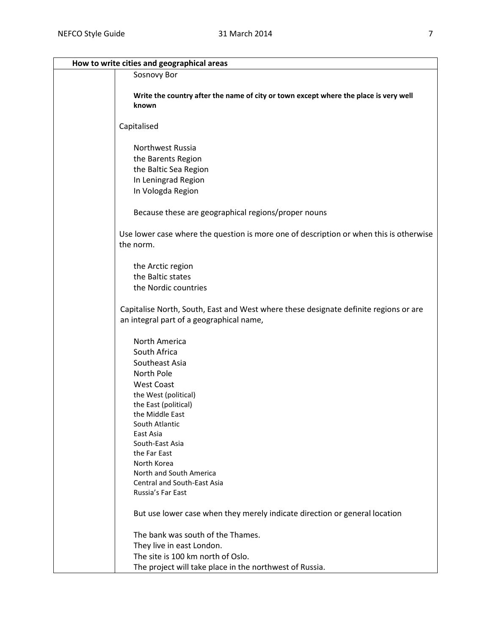| How to write cities and geographical areas                                                          |
|-----------------------------------------------------------------------------------------------------|
| Sosnovy Bor                                                                                         |
|                                                                                                     |
| Write the country after the name of city or town except where the place is very well                |
| known                                                                                               |
|                                                                                                     |
| Capitalised                                                                                         |
| Northwest Russia                                                                                    |
| the Barents Region                                                                                  |
| the Baltic Sea Region                                                                               |
| In Leningrad Region                                                                                 |
| In Vologda Region                                                                                   |
|                                                                                                     |
| Because these are geographical regions/proper nouns                                                 |
| Use lower case where the question is more one of description or when this is otherwise<br>the norm. |
|                                                                                                     |
| the Arctic region                                                                                   |
| the Baltic states                                                                                   |
| the Nordic countries                                                                                |
| Capitalise North, South, East and West where these designate definite regions or are                |
| an integral part of a geographical name,                                                            |
| North America                                                                                       |
| South Africa                                                                                        |
| Southeast Asia                                                                                      |
| North Pole                                                                                          |
| <b>West Coast</b>                                                                                   |
| the West (political)                                                                                |
| the East (political)                                                                                |
| the Middle East                                                                                     |
| South Atlantic                                                                                      |
| East Asia                                                                                           |
| South-East Asia                                                                                     |
| the Far East                                                                                        |
| North Korea<br>North and South America                                                              |
| <b>Central and South-East Asia</b>                                                                  |
| Russia's Far East                                                                                   |
|                                                                                                     |
| But use lower case when they merely indicate direction or general location                          |
| The bank was south of the Thames.                                                                   |
| They live in east London.                                                                           |
| The site is 100 km north of Oslo.                                                                   |
| The project will take place in the northwest of Russia.                                             |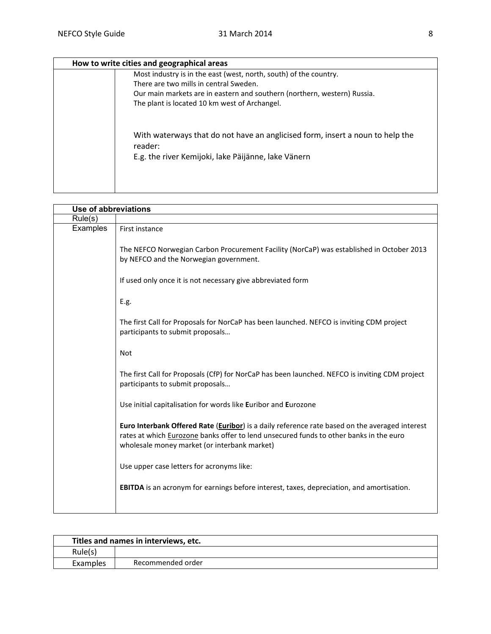| How to write cities and geographical areas                                                                                                      |  |
|-------------------------------------------------------------------------------------------------------------------------------------------------|--|
| Most industry is in the east (west, north, south) of the country.                                                                               |  |
| There are two mills in central Sweden.                                                                                                          |  |
| Our main markets are in eastern and southern (northern, western) Russia.                                                                        |  |
| The plant is located 10 km west of Archangel.                                                                                                   |  |
| With waterways that do not have an anglicised form, insert a noun to help the<br>reader:<br>E.g. the river Kemijoki, lake Päijänne, lake Vänern |  |

| Use of abbreviations |                                                                                                                                                                                                                                          |
|----------------------|------------------------------------------------------------------------------------------------------------------------------------------------------------------------------------------------------------------------------------------|
| Rule(s)              |                                                                                                                                                                                                                                          |
| Examples             | First instance                                                                                                                                                                                                                           |
|                      | The NEFCO Norwegian Carbon Procurement Facility (NorCaP) was established in October 2013<br>by NEFCO and the Norwegian government.                                                                                                       |
|                      | If used only once it is not necessary give abbreviated form                                                                                                                                                                              |
|                      | E.g.                                                                                                                                                                                                                                     |
|                      | The first Call for Proposals for NorCaP has been launched. NEFCO is inviting CDM project<br>participants to submit proposals                                                                                                             |
|                      | <b>Not</b>                                                                                                                                                                                                                               |
|                      | The first Call for Proposals (CfP) for NorCaP has been launched. NEFCO is inviting CDM project<br>participants to submit proposals                                                                                                       |
|                      | Use initial capitalisation for words like Euribor and Eurozone                                                                                                                                                                           |
|                      | Euro Interbank Offered Rate (Euribor) is a daily reference rate based on the averaged interest<br>rates at which Eurozone banks offer to lend unsecured funds to other banks in the euro<br>wholesale money market (or interbank market) |
|                      | Use upper case letters for acronyms like:                                                                                                                                                                                                |
|                      | <b>EBITDA</b> is an acronym for earnings before interest, taxes, depreciation, and amortisation.                                                                                                                                         |
|                      |                                                                                                                                                                                                                                          |

| Titles and names in interviews, etc. |                   |
|--------------------------------------|-------------------|
| Rule(s)                              |                   |
| Examples                             | Recommended order |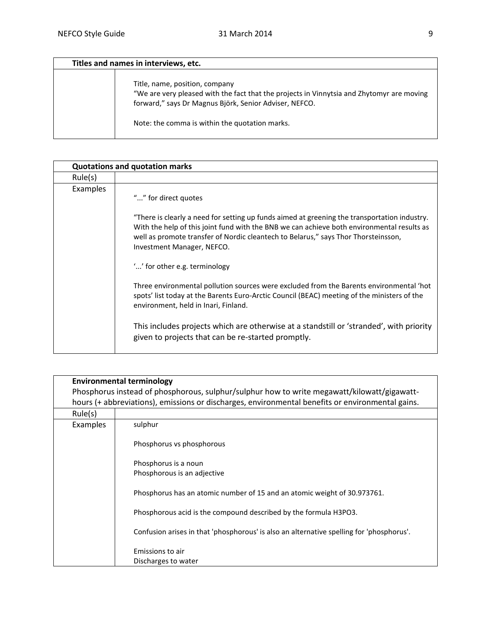| Titles and names in interviews, etc. |                                                                                                                                                                                                                                         |
|--------------------------------------|-----------------------------------------------------------------------------------------------------------------------------------------------------------------------------------------------------------------------------------------|
|                                      | Title, name, position, company<br>"We are very pleased with the fact that the projects in Vinnytsia and Zhytomyr are moving<br>forward," says Dr Magnus Björk, Senior Adviser, NEFCO.<br>Note: the comma is within the quotation marks. |

|          | <b>Quotations and quotation marks</b>                                                                                                                                                                                                                                                                                                                                                                            |  |
|----------|------------------------------------------------------------------------------------------------------------------------------------------------------------------------------------------------------------------------------------------------------------------------------------------------------------------------------------------------------------------------------------------------------------------|--|
| Rule(s)  |                                                                                                                                                                                                                                                                                                                                                                                                                  |  |
| Examples | "" for direct quotes<br>"There is clearly a need for setting up funds aimed at greening the transportation industry.<br>With the help of this joint fund with the BNB we can achieve both environmental results as<br>well as promote transfer of Nordic cleantech to Belarus," says Thor Thorsteinsson,<br>Investment Manager, NEFCO.                                                                           |  |
|          | "" for other e.g. terminology<br>Three environmental pollution sources were excluded from the Barents environmental 'hot<br>spots' list today at the Barents Euro-Arctic Council (BEAC) meeting of the ministers of the<br>environment, held in Inari, Finland.<br>This includes projects which are otherwise at a standstill or 'stranded', with priority<br>given to projects that can be re-started promptly. |  |

|          | <b>Environmental terminology</b>                                                                 |
|----------|--------------------------------------------------------------------------------------------------|
|          | Phosphorus instead of phosphorous, sulphur/sulphur how to write megawatt/kilowatt/gigawatt-      |
|          | hours (+ abbreviations), emissions or discharges, environmental benefits or environmental gains. |
| Rule(s)  |                                                                                                  |
| Examples | sulphur                                                                                          |
|          | Phosphorus vs phosphorous                                                                        |
|          | Phosphorus is a noun                                                                             |
|          | Phosphorous is an adjective                                                                      |
|          | Phosphorus has an atomic number of 15 and an atomic weight of 30.973761.                         |
|          | Phosphorous acid is the compound described by the formula H3PO3.                                 |
|          | Confusion arises in that 'phosphorous' is also an alternative spelling for 'phosphorus'.         |
|          | Emissions to air                                                                                 |
|          | Discharges to water                                                                              |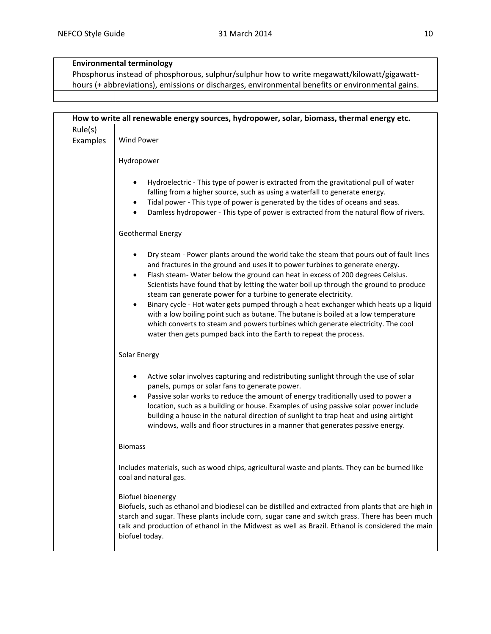## **Environmental terminology**

Phosphorus instead of phosphorous, sulphur/sulphur how to write megawatt/kilowatt/gigawatthours (+ abbreviations), emissions or discharges, environmental benefits or environmental gains.

|          | How to write all renewable energy sources, hydropower, solar, biomass, thermal energy etc.                                                                                                                                                                                                                                                                                                                                                                                                                                                                                                                                                                                                                                                                         |
|----------|--------------------------------------------------------------------------------------------------------------------------------------------------------------------------------------------------------------------------------------------------------------------------------------------------------------------------------------------------------------------------------------------------------------------------------------------------------------------------------------------------------------------------------------------------------------------------------------------------------------------------------------------------------------------------------------------------------------------------------------------------------------------|
| Rule(s)  |                                                                                                                                                                                                                                                                                                                                                                                                                                                                                                                                                                                                                                                                                                                                                                    |
| Examples | Wind Power                                                                                                                                                                                                                                                                                                                                                                                                                                                                                                                                                                                                                                                                                                                                                         |
|          | Hydropower                                                                                                                                                                                                                                                                                                                                                                                                                                                                                                                                                                                                                                                                                                                                                         |
|          | Hydroelectric - This type of power is extracted from the gravitational pull of water<br>falling from a higher source, such as using a waterfall to generate energy.<br>Tidal power - This type of power is generated by the tides of oceans and seas.<br>Damless hydropower - This type of power is extracted from the natural flow of rivers.                                                                                                                                                                                                                                                                                                                                                                                                                     |
|          | Geothermal Energy                                                                                                                                                                                                                                                                                                                                                                                                                                                                                                                                                                                                                                                                                                                                                  |
|          | Dry steam - Power plants around the world take the steam that pours out of fault lines<br>and fractures in the ground and uses it to power turbines to generate energy.<br>Flash steam- Water below the ground can heat in excess of 200 degrees Celsius.<br>٠<br>Scientists have found that by letting the water boil up through the ground to produce<br>steam can generate power for a turbine to generate electricity.<br>Binary cycle - Hot water gets pumped through a heat exchanger which heats up a liquid<br>with a low boiling point such as butane. The butane is boiled at a low temperature<br>which converts to steam and powers turbines which generate electricity. The cool<br>water then gets pumped back into the Earth to repeat the process. |
|          | Solar Energy                                                                                                                                                                                                                                                                                                                                                                                                                                                                                                                                                                                                                                                                                                                                                       |
|          | Active solar involves capturing and redistributing sunlight through the use of solar<br>panels, pumps or solar fans to generate power.<br>Passive solar works to reduce the amount of energy traditionally used to power a<br>location, such as a building or house. Examples of using passive solar power include<br>building a house in the natural direction of sunlight to trap heat and using airtight<br>windows, walls and floor structures in a manner that generates passive energy.                                                                                                                                                                                                                                                                      |
|          | <b>Biomass</b>                                                                                                                                                                                                                                                                                                                                                                                                                                                                                                                                                                                                                                                                                                                                                     |
|          | Includes materials, such as wood chips, agricultural waste and plants. They can be burned like<br>coal and natural gas.                                                                                                                                                                                                                                                                                                                                                                                                                                                                                                                                                                                                                                            |
|          | <b>Biofuel bioenergy</b><br>Biofuels, such as ethanol and biodiesel can be distilled and extracted from plants that are high in<br>starch and sugar. These plants include corn, sugar cane and switch grass. There has been much<br>talk and production of ethanol in the Midwest as well as Brazil. Ethanol is considered the main<br>biofuel today.                                                                                                                                                                                                                                                                                                                                                                                                              |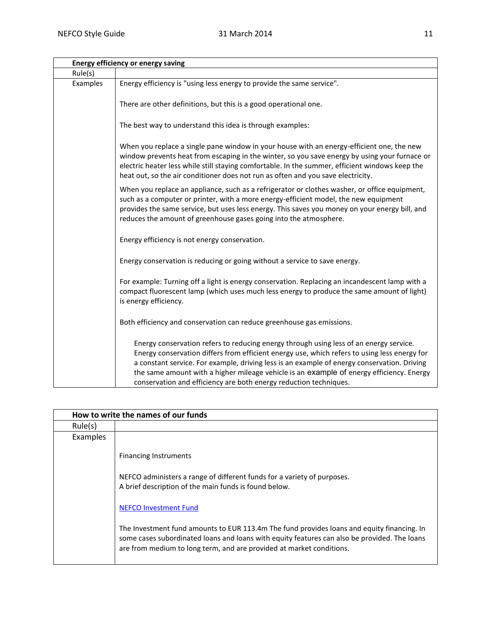|          | <b>Energy efficiency or energy saving</b>                                                                                                                                                                                                                                                                                                                                                                                                              |
|----------|--------------------------------------------------------------------------------------------------------------------------------------------------------------------------------------------------------------------------------------------------------------------------------------------------------------------------------------------------------------------------------------------------------------------------------------------------------|
| Rule(s)  |                                                                                                                                                                                                                                                                                                                                                                                                                                                        |
| Examples | Energy efficiency is "using less energy to provide the same service".                                                                                                                                                                                                                                                                                                                                                                                  |
|          | There are other definitions, but this is a good operational one.                                                                                                                                                                                                                                                                                                                                                                                       |
|          | The best way to understand this idea is through examples:                                                                                                                                                                                                                                                                                                                                                                                              |
|          | When you replace a single pane window in your house with an energy-efficient one, the new<br>window prevents heat from escaping in the winter, so you save energy by using your furnace or<br>electric heater less while still staying comfortable. In the summer, efficient windows keep the<br>heat out, so the air conditioner does not run as often and you save electricity.                                                                      |
|          | When you replace an appliance, such as a refrigerator or clothes washer, or office equipment,<br>such as a computer or printer, with a more energy-efficient model, the new equipment<br>provides the same service, but uses less energy. This saves you money on your energy bill, and<br>reduces the amount of greenhouse gases going into the atmosphere.                                                                                           |
|          | Energy efficiency is not energy conservation.                                                                                                                                                                                                                                                                                                                                                                                                          |
|          | Energy conservation is reducing or going without a service to save energy.                                                                                                                                                                                                                                                                                                                                                                             |
|          | For example: Turning off a light is energy conservation. Replacing an incandescent lamp with a<br>compact fluorescent lamp (which uses much less energy to produce the same amount of light)<br>is energy efficiency.                                                                                                                                                                                                                                  |
|          | Both efficiency and conservation can reduce greenhouse gas emissions.                                                                                                                                                                                                                                                                                                                                                                                  |
|          | Energy conservation refers to reducing energy through using less of an energy service.<br>Energy conservation differs from efficient energy use, which refers to using less energy for<br>a constant service. For example, driving less is an example of energy conservation. Driving<br>the same amount with a higher mileage vehicle is an example of energy efficiency. Energy<br>conservation and efficiency are both energy reduction techniques. |

| How to write the names of our funds |                                                                                                                                                                                                                                                                    |
|-------------------------------------|--------------------------------------------------------------------------------------------------------------------------------------------------------------------------------------------------------------------------------------------------------------------|
| Rule(s)                             |                                                                                                                                                                                                                                                                    |
| Examples                            |                                                                                                                                                                                                                                                                    |
|                                     | <b>Financing Instruments</b>                                                                                                                                                                                                                                       |
|                                     | NEFCO administers a range of different funds for a variety of purposes.<br>A brief description of the main funds is found below.                                                                                                                                   |
|                                     | <b>NEFCO Investment Fund</b>                                                                                                                                                                                                                                       |
|                                     | The Investment fund amounts to EUR 113.4m The fund provides loans and equity financing. In<br>some cases subordinated loans and loans with equity features can also be provided. The loans<br>are from medium to long term, and are provided at market conditions. |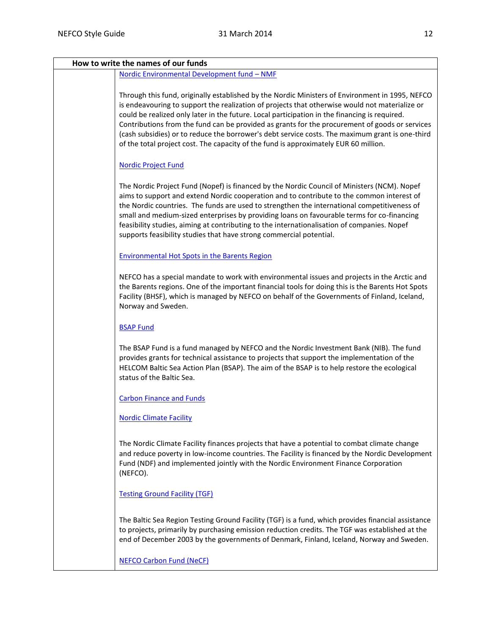| How to write the names of our funds                                                                                                                                                                                                                                                                                                                                                                                                                                                                                                                                                             |  |
|-------------------------------------------------------------------------------------------------------------------------------------------------------------------------------------------------------------------------------------------------------------------------------------------------------------------------------------------------------------------------------------------------------------------------------------------------------------------------------------------------------------------------------------------------------------------------------------------------|--|
| Nordic Environmental Development fund - NMF                                                                                                                                                                                                                                                                                                                                                                                                                                                                                                                                                     |  |
| Through this fund, originally established by the Nordic Ministers of Environment in 1995, NEFCO<br>is endeavouring to support the realization of projects that otherwise would not materialize or<br>could be realized only later in the future. Local participation in the financing is required.<br>Contributions from the fund can be provided as grants for the procurement of goods or services<br>(cash subsidies) or to reduce the borrower's debt service costs. The maximum grant is one-third<br>of the total project cost. The capacity of the fund is approximately EUR 60 million. |  |
| <b>Nordic Project Fund</b>                                                                                                                                                                                                                                                                                                                                                                                                                                                                                                                                                                      |  |
| The Nordic Project Fund (Nopef) is financed by the Nordic Council of Ministers (NCM). Nopef<br>aims to support and extend Nordic cooperation and to contribute to the common interest of<br>the Nordic countries. The funds are used to strengthen the international competitiveness of<br>small and medium-sized enterprises by providing loans on favourable terms for co-financing<br>feasibility studies, aiming at contributing to the internationalisation of companies. Nopef<br>supports feasibility studies that have strong commercial potential.                                     |  |
| <b>Environmental Hot Spots in the Barents Region</b>                                                                                                                                                                                                                                                                                                                                                                                                                                                                                                                                            |  |
| NEFCO has a special mandate to work with environmental issues and projects in the Arctic and<br>the Barents regions. One of the important financial tools for doing this is the Barents Hot Spots<br>Facility (BHSF), which is managed by NEFCO on behalf of the Governments of Finland, Iceland,<br>Norway and Sweden.                                                                                                                                                                                                                                                                         |  |
| <b>BSAP Fund</b>                                                                                                                                                                                                                                                                                                                                                                                                                                                                                                                                                                                |  |
| The BSAP Fund is a fund managed by NEFCO and the Nordic Investment Bank (NIB). The fund<br>provides grants for technical assistance to projects that support the implementation of the<br>HELCOM Baltic Sea Action Plan (BSAP). The aim of the BSAP is to help restore the ecological<br>status of the Baltic Sea.                                                                                                                                                                                                                                                                              |  |
| <b>Carbon Finance and Funds</b>                                                                                                                                                                                                                                                                                                                                                                                                                                                                                                                                                                 |  |
| <b>Nordic Climate Facility</b>                                                                                                                                                                                                                                                                                                                                                                                                                                                                                                                                                                  |  |
| The Nordic Climate Facility finances projects that have a potential to combat climate change<br>and reduce poverty in low-income countries. The Facility is financed by the Nordic Development<br>Fund (NDF) and implemented jointly with the Nordic Environment Finance Corporation<br>(NEFCO).                                                                                                                                                                                                                                                                                                |  |
| <b>Testing Ground Facility (TGF)</b>                                                                                                                                                                                                                                                                                                                                                                                                                                                                                                                                                            |  |
| The Baltic Sea Region Testing Ground Facility (TGF) is a fund, which provides financial assistance<br>to projects, primarily by purchasing emission reduction credits. The TGF was established at the<br>end of December 2003 by the governments of Denmark, Finland, Iceland, Norway and Sweden.                                                                                                                                                                                                                                                                                               |  |
| <b>NEFCO Carbon Fund (NeCF)</b>                                                                                                                                                                                                                                                                                                                                                                                                                                                                                                                                                                 |  |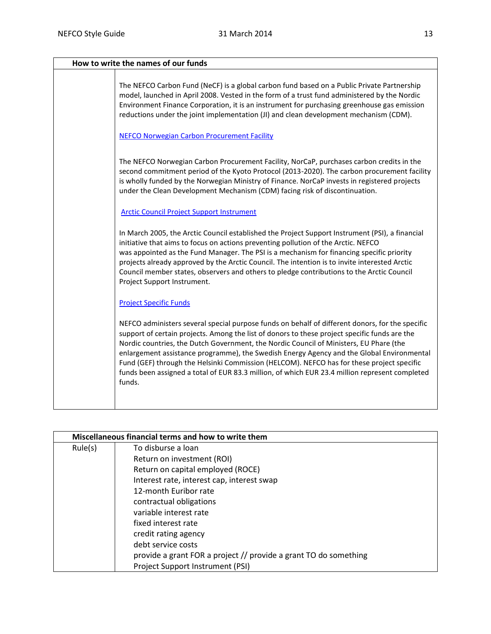| How to write the names of our funds |                                                                                                                                                                                                                                                                                                                                                                                                                                                                                                                                                                                                  |  |
|-------------------------------------|--------------------------------------------------------------------------------------------------------------------------------------------------------------------------------------------------------------------------------------------------------------------------------------------------------------------------------------------------------------------------------------------------------------------------------------------------------------------------------------------------------------------------------------------------------------------------------------------------|--|
|                                     | The NEFCO Carbon Fund (NeCF) is a global carbon fund based on a Public Private Partnership<br>model, launched in April 2008. Vested in the form of a trust fund administered by the Nordic<br>Environment Finance Corporation, it is an instrument for purchasing greenhouse gas emission<br>reductions under the joint implementation (JI) and clean development mechanism (CDM).                                                                                                                                                                                                               |  |
|                                     | <b>NEFCO Norwegian Carbon Procurement Facility</b>                                                                                                                                                                                                                                                                                                                                                                                                                                                                                                                                               |  |
|                                     | The NEFCO Norwegian Carbon Procurement Facility, NorCaP, purchases carbon credits in the<br>second commitment period of the Kyoto Protocol (2013-2020). The carbon procurement facility<br>is wholly funded by the Norwegian Ministry of Finance. NorCaP invests in registered projects<br>under the Clean Development Mechanism (CDM) facing risk of discontinuation.                                                                                                                                                                                                                           |  |
|                                     | <b>Arctic Council Project Support Instrument</b>                                                                                                                                                                                                                                                                                                                                                                                                                                                                                                                                                 |  |
|                                     | In March 2005, the Arctic Council established the Project Support Instrument (PSI), a financial<br>initiative that aims to focus on actions preventing pollution of the Arctic. NEFCO<br>was appointed as the Fund Manager. The PSI is a mechanism for financing specific priority<br>projects already approved by the Arctic Council. The intention is to invite interested Arctic<br>Council member states, observers and others to pledge contributions to the Arctic Council<br>Project Support Instrument.                                                                                  |  |
|                                     | <b>Project Specific Funds</b>                                                                                                                                                                                                                                                                                                                                                                                                                                                                                                                                                                    |  |
|                                     | NEFCO administers several special purpose funds on behalf of different donors, for the specific<br>support of certain projects. Among the list of donors to these project specific funds are the<br>Nordic countries, the Dutch Government, the Nordic Council of Ministers, EU Phare (the<br>enlargement assistance programme), the Swedish Energy Agency and the Global Environmental<br>Fund (GEF) through the Helsinki Commission (HELCOM). NEFCO has for these project specific<br>funds been assigned a total of EUR 83.3 million, of which EUR 23.4 million represent completed<br>funds. |  |

| Miscellaneous financial terms and how to write them |                                                                  |  |
|-----------------------------------------------------|------------------------------------------------------------------|--|
| Rule(s)                                             | To disburse a loan                                               |  |
|                                                     | Return on investment (ROI)                                       |  |
|                                                     | Return on capital employed (ROCE)                                |  |
|                                                     | Interest rate, interest cap, interest swap                       |  |
|                                                     | 12-month Euribor rate                                            |  |
|                                                     | contractual obligations                                          |  |
|                                                     | variable interest rate                                           |  |
|                                                     | fixed interest rate                                              |  |
|                                                     | credit rating agency                                             |  |
|                                                     | debt service costs                                               |  |
|                                                     | provide a grant FOR a project // provide a grant TO do something |  |
|                                                     | Project Support Instrument (PSI)                                 |  |